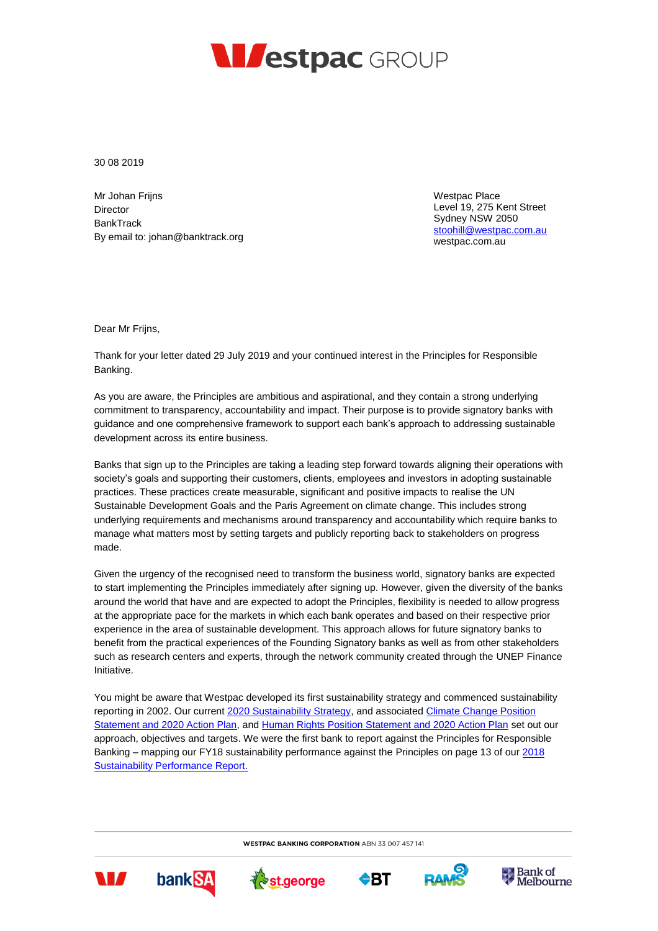

30 08 2019

Mr Johan Frijns Director **BankTrack** By email to: johan@banktrack.org Westpac Place Level 19, 275 Kent Street Sydney NSW 2050 [stoohill@westpac.com.au](mailto:stoohill@westpac.com.au) [westpac.com.au](http://www.westpac.com.au/) 

Dear Mr Frijns,

Thank for your letter dated 29 July 2019 and your continued interest in the Principles for Responsible Banking.

As you are aware, the Principles are ambitious and aspirational, and they contain a strong underlying commitment to transparency, accountability and impact. Their purpose is to provide signatory banks with guidance and one comprehensive framework to support each bank's approach to addressing sustainable development across its entire business.

Banks that sign up to the Principles are taking a leading step forward towards aligning their operations with society's goals and supporting their customers, clients, employees and investors in adopting sustainable practices. These practices create measurable, significant and positive impacts to realise the UN Sustainable Development Goals and the Paris Agreement on climate change. This includes strong underlying requirements and mechanisms around transparency and accountability which require banks to manage what matters most by setting targets and publicly reporting back to stakeholders on progress made.

Given the urgency of the recognised need to transform the business world, signatory banks are expected to start implementing the Principles immediately after signing up. However, given the diversity of the banks around the world that have and are expected to adopt the Principles, flexibility is needed to allow progress at the appropriate pace for the markets in which each bank operates and based on their respective prior experience in the area of sustainable development. This approach allows for future signatory banks to benefit from the practical experiences of the Founding Signatory banks as well as from other stakeholders such as research centers and experts, through the network community created through the UNEP Finance Initiative.

You might be aware that Westpac developed its first sustainability strategy and commenced sustainability reporting in 2002. Our curren[t 2020 Sustainability Strategy,](https://www.westpac.com.au/content/dam/public/wbc/documents/pdf/aw/sustainability/Westpac_Group_2018-2020_Sustainability_Strategy.pdf) and associated Climate Change Position [Statement and 2020 Action Plan,](https://www.westpac.com.au/content/dam/public/wbc/documents/pdf/aw/sustainability/WestpacCCEActionPlan.pdf) an[d Human Rights Position Statement and 2020 Action Plan](https://www.westpac.com.au/content/dam/public/wbc/documents/pdf/aw/sustainability/Human_Rights_Position_Statement.pdf) set out our approach, objectives and targets. We were the first bank to report against the Principles for Responsible Banking – mapping our FY18 sustainability performance against the Principles on page 13 of our 2018 [Sustainability Performance Report.](https://www.westpac.com.au/content/dam/public/wbc/documents/pdf/aw/ic/2018_Sustainability_Performance_Report.pdf)

**WESTPAC BANKING CORPORATION ABN 33 007 457 141**